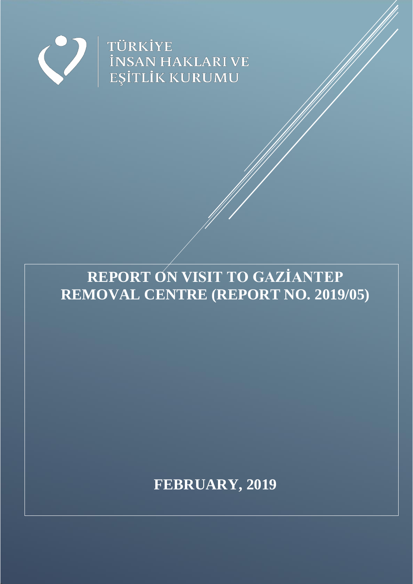

# **REPORT ON VISIT TO GAZİANTEP REMOVAL CENTRE (REPORT NO. 2019/05)**

**FEBRUARY, 2019**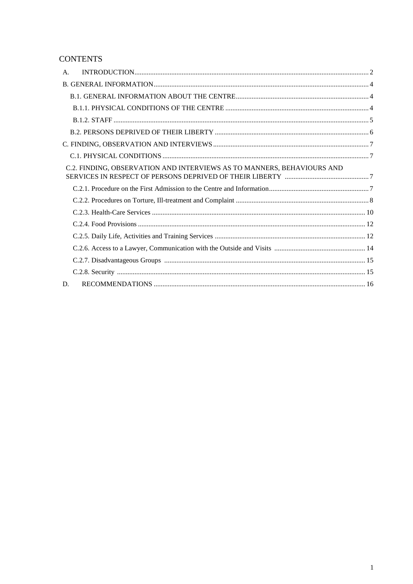# **CONTENTS**

| A. |                                                                        |  |  |
|----|------------------------------------------------------------------------|--|--|
|    |                                                                        |  |  |
|    |                                                                        |  |  |
|    |                                                                        |  |  |
|    |                                                                        |  |  |
|    |                                                                        |  |  |
|    |                                                                        |  |  |
|    |                                                                        |  |  |
|    | C.2. FINDING, OBSERVATION AND INTERVIEWS AS TO MANNERS, BEHAVIOURS AND |  |  |
|    |                                                                        |  |  |
|    |                                                                        |  |  |
|    |                                                                        |  |  |
|    |                                                                        |  |  |
|    |                                                                        |  |  |
|    |                                                                        |  |  |
|    |                                                                        |  |  |
|    |                                                                        |  |  |
| D. |                                                                        |  |  |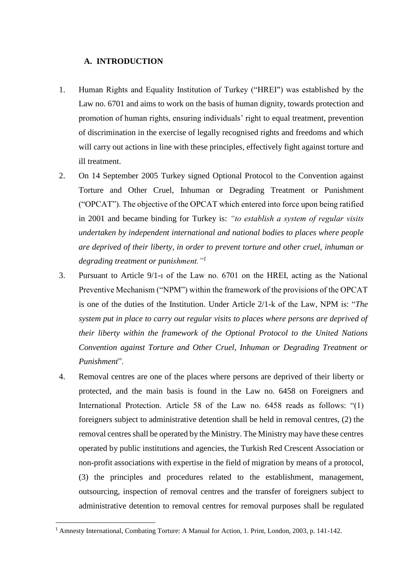### <span id="page-2-0"></span>**A. INTRODUCTION**

- 1. Human Rights and Equality Institution of Turkey ("HREI") was established by the Law no. 6701 and aims to work on the basis of human dignity, towards protection and promotion of human rights, ensuring individuals' right to equal treatment, prevention of discrimination in the exercise of legally recognised rights and freedoms and which will carry out actions in line with these principles, effectively fight against torture and ill treatment.
- 2. On 14 September 2005 Turkey signed Optional Protocol to the Convention against Torture and Other Cruel, Inhuman or Degrading Treatment or Punishment ("OPCAT"). The objective of the OPCAT which entered into force upon being ratified in 2001 and became binding for Turkey is: *"to establish a system of regular visits undertaken by independent international and national bodies to places where people are deprived of their liberty, in order to prevent torture and other cruel, inhuman or degrading treatment or punishment."<sup>1</sup>*
- 3. Pursuant to Article 9/1-ı of the Law no. 6701 on the HREI, acting as the National Preventive Mechanism ("NPM") within the framework of the provisions of the OPCAT is one of the duties of the Institution. Under Article 2/1-k of the Law, NPM is: "*The system put in place to carry out regular visits to places where persons are deprived of their liberty within the framework of the Optional Protocol to the United Nations Convention against Torture and Other Cruel, Inhuman or Degrading Treatment or Punishment*".
- 4. Removal centres are one of the places where persons are deprived of their liberty or protected, and the main basis is found in the Law no. 6458 on Foreigners and International Protection. Article 58 of the Law no. 6458 reads as follows: "(1) foreigners subject to administrative detention shall be held in removal centres, (2) the removal centres shall be operated by the Ministry. The Ministry may have these centres operated by public institutions and agencies, the Turkish Red Crescent Association or non-profit associations with expertise in the field of migration by means of a protocol, (3) the principles and procedures related to the establishment, management, outsourcing, inspection of removal centres and the transfer of foreigners subject to administrative detention to removal centres for removal purposes shall be regulated

 $\overline{a}$ 

<sup>1</sup> Amnesty International, Combating Torture: A Manual for Action, 1. Print, London, 2003, p. 141-142.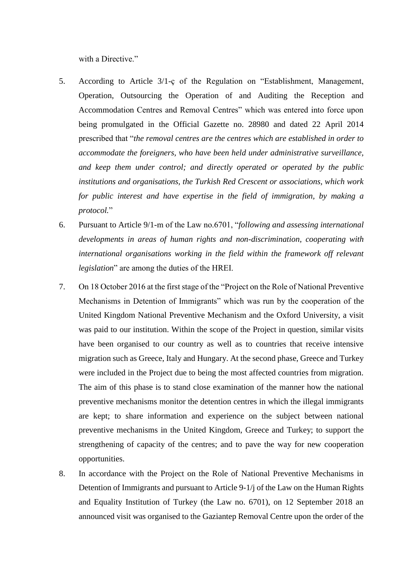with a Directive."

- 5. According to Article 3/1-ç of the Regulation on "Establishment, Management, Operation, Outsourcing the Operation of and Auditing the Reception and Accommodation Centres and Removal Centres" which was entered into force upon being promulgated in the Official Gazette no. 28980 and dated 22 April 2014 prescribed that "*the removal centres are the centres which are established in order to accommodate the foreigners, who have been held under administrative surveillance, and keep them under control; and directly operated or operated by the public institutions and organisations, the Turkish Red Crescent or associations, which work for public interest and have expertise in the field of immigration, by making a protocol.*"
- 6. Pursuant to Article 9/1-m of the Law no.6701, "*following and assessing international developments in areas of human rights and non-discrimination, cooperating with international organisations working in the field within the framework off relevant legislation*" are among the duties of the HREI.
- 7. On 18 October 2016 at the first stage of the "Project on the Role of National Preventive Mechanisms in Detention of Immigrants" which was run by the cooperation of the United Kingdom National Preventive Mechanism and the Oxford University, a visit was paid to our institution. Within the scope of the Project in question, similar visits have been organised to our country as well as to countries that receive intensive migration such as Greece, Italy and Hungary. At the second phase, Greece and Turkey were included in the Project due to being the most affected countries from migration. The aim of this phase is to stand close examination of the manner how the national preventive mechanisms monitor the detention centres in which the illegal immigrants are kept; to share information and experience on the subject between national preventive mechanisms in the United Kingdom, Greece and Turkey; to support the strengthening of capacity of the centres; and to pave the way for new cooperation opportunities.
- 8. In accordance with the Project on the Role of National Preventive Mechanisms in Detention of Immigrants and pursuant to Article 9-1/j of the Law on the Human Rights and Equality Institution of Turkey (the Law no. 6701), on 12 September 2018 an announced visit was organised to the Gaziantep Removal Centre upon the order of the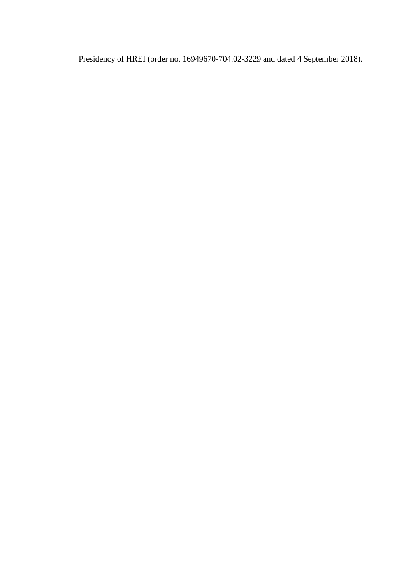Presidency of HREI (order no. 16949670-704.02-3229 and dated 4 September 2018).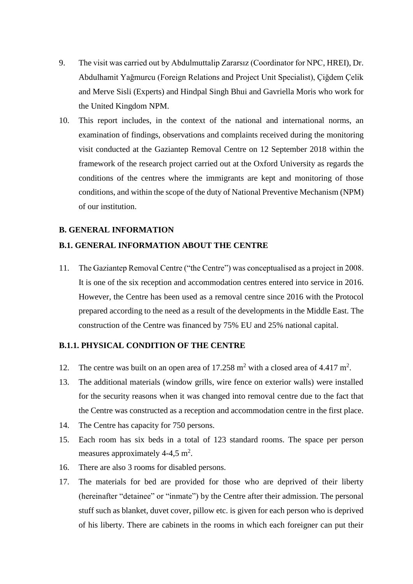- 9. The visit was carried out by Abdulmuttalip Zararsız (Coordinator for NPC, HREI), Dr. Abdulhamit Yağmurcu (Foreign Relations and Project Unit Specialist), Çiğdem Çelik and Merve Sisli (Experts) and Hindpal Singh Bhui and Gavriella Moris who work for the United Kingdom NPM.
- 10. This report includes, in the context of the national and international norms, an examination of findings, observations and complaints received during the monitoring visit conducted at the Gaziantep Removal Centre on 12 September 2018 within the framework of the research project carried out at the Oxford University as regards the conditions of the centres where the immigrants are kept and monitoring of those conditions, and within the scope of the duty of National Preventive Mechanism (NPM) of our institution.

### <span id="page-5-0"></span>**B. GENERAL INFORMATION**

### <span id="page-5-1"></span>**B.1. GENERAL INFORMATION ABOUT THE CENTRE**

11. The Gaziantep Removal Centre ("the Centre") was conceptualised as a project in 2008. It is one of the six reception and accommodation centres entered into service in 2016. However, the Centre has been used as a removal centre since 2016 with the Protocol prepared according to the need as a result of the developments in the Middle East. The construction of the Centre was financed by 75% EU and 25% national capital.

### <span id="page-5-2"></span>**B.1.1. PHYSICAL CONDITION OF THE CENTRE**

- 12. The centre was built on an open area of  $17.258 \text{ m}^2$  with a closed area of 4.417 m<sup>2</sup>.
- 13. The additional materials (window grills, wire fence on exterior walls) were installed for the security reasons when it was changed into removal centre due to the fact that the Centre was constructed as a reception and accommodation centre in the first place.
- 14. The Centre has capacity for 750 persons.
- 15. Each room has six beds in a total of 123 standard rooms. The space per person measures approximately 4-4,5  $m^2$ .
- 16. There are also 3 rooms for disabled persons.
- 17. The materials for bed are provided for those who are deprived of their liberty (hereinafter "detainee" or "inmate") by the Centre after their admission. The personal stuff such as blanket, duvet cover, pillow etc. is given for each person who is deprived of his liberty. There are cabinets in the rooms in which each foreigner can put their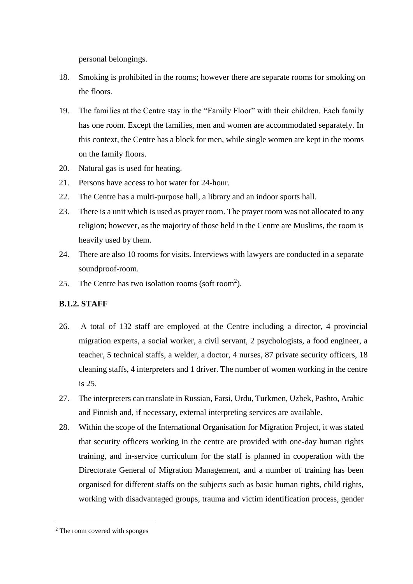personal belongings.

- 18. Smoking is prohibited in the rooms; however there are separate rooms for smoking on the floors.
- 19. The families at the Centre stay in the "Family Floor" with their children. Each family has one room. Except the families, men and women are accommodated separately. In this context, the Centre has a block for men, while single women are kept in the rooms on the family floors.
- 20. Natural gas is used for heating.
- 21. Persons have access to hot water for 24-hour.
- 22. The Centre has a multi-purpose hall, a library and an indoor sports hall.
- 23. There is a unit which is used as prayer room. The prayer room was not allocated to any religion; however, as the majority of those held in the Centre are Muslims, the room is heavily used by them.
- 24. There are also 10 rooms for visits. Interviews with lawyers are conducted in a separate soundproof-room.
- 25. The Centre has two isolation rooms (soft room<sup>2</sup>).

# <span id="page-6-0"></span>**B.1.2. STAFF**

- 26. A total of 132 staff are employed at the Centre including a director, 4 provincial migration experts, a social worker, a civil servant, 2 psychologists, a food engineer, a teacher, 5 technical staffs, a welder, a doctor, 4 nurses, 87 private security officers, 18 cleaning staffs, 4 interpreters and 1 driver. The number of women working in the centre is 25.
- 27. The interpreters can translate in Russian, Farsi, Urdu, Turkmen, Uzbek, Pashto, Arabic and Finnish and, if necessary, external interpreting services are available.
- 28. Within the scope of the International Organisation for Migration Project, it was stated that security officers working in the centre are provided with one-day human rights training, and in-service curriculum for the staff is planned in cooperation with the Directorate General of Migration Management, and a number of training has been organised for different staffs on the subjects such as basic human rights, child rights, working with disadvantaged groups, trauma and victim identification process, gender

 $\overline{\phantom{a}}$ 

<sup>&</sup>lt;sup>2</sup> The room covered with sponges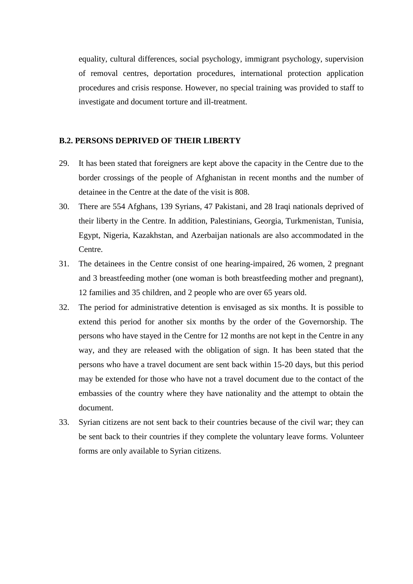equality, cultural differences, social psychology, immigrant psychology, supervision of removal centres, deportation procedures, international protection application procedures and crisis response. However, no special training was provided to staff to investigate and document torture and ill-treatment.

# <span id="page-7-0"></span>**B.2. PERSONS DEPRIVED OF THEIR LIBERTY**

- 29. It has been stated that foreigners are kept above the capacity in the Centre due to the border crossings of the people of Afghanistan in recent months and the number of detainee in the Centre at the date of the visit is 808.
- 30. There are 554 Afghans, 139 Syrians, 47 Pakistani, and 28 Iraqi nationals deprived of their liberty in the Centre. In addition, Palestinians, Georgia, Turkmenistan, Tunisia, Egypt, Nigeria, Kazakhstan, and Azerbaijan nationals are also accommodated in the Centre.
- 31. The detainees in the Centre consist of one hearing-impaired, 26 women, 2 pregnant and 3 breastfeeding mother (one woman is both breastfeeding mother and pregnant), 12 families and 35 children, and 2 people who are over 65 years old.
- 32. The period for administrative detention is envisaged as six months. It is possible to extend this period for another six months by the order of the Governorship. The persons who have stayed in the Centre for 12 months are not kept in the Centre in any way, and they are released with the obligation of sign. It has been stated that the persons who have a travel document are sent back within 15-20 days, but this period may be extended for those who have not a travel document due to the contact of the embassies of the country where they have nationality and the attempt to obtain the document.
- 33. Syrian citizens are not sent back to their countries because of the civil war; they can be sent back to their countries if they complete the voluntary leave forms. Volunteer forms are only available to Syrian citizens.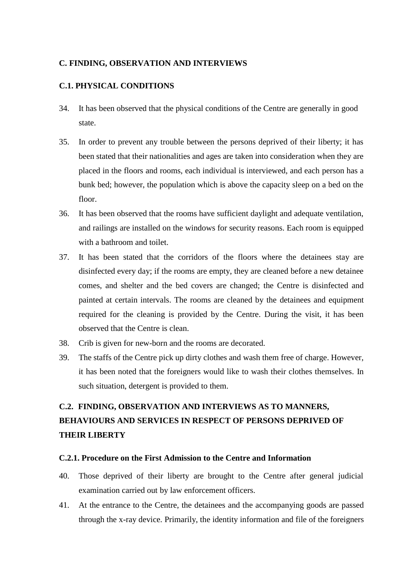# <span id="page-8-0"></span>**C. FINDING, OBSERVATION AND INTERVIEWS**

# <span id="page-8-1"></span>**C.1. PHYSICAL CONDITIONS**

- 34. It has been observed that the physical conditions of the Centre are generally in good state.
- 35. In order to prevent any trouble between the persons deprived of their liberty; it has been stated that their nationalities and ages are taken into consideration when they are placed in the floors and rooms, each individual is interviewed, and each person has a bunk bed; however, the population which is above the capacity sleep on a bed on the floor.
- 36. It has been observed that the rooms have sufficient daylight and adequate ventilation, and railings are installed on the windows for security reasons. Each room is equipped with a bathroom and toilet.
- 37. It has been stated that the corridors of the floors where the detainees stay are disinfected every day; if the rooms are empty, they are cleaned before a new detainee comes, and shelter and the bed covers are changed; the Centre is disinfected and painted at certain intervals. The rooms are cleaned by the detainees and equipment required for the cleaning is provided by the Centre. During the visit, it has been observed that the Centre is clean.
- 38. Crib is given for new-born and the rooms are decorated.
- 39. The staffs of the Centre pick up dirty clothes and wash them free of charge. However, it has been noted that the foreigners would like to wash their clothes themselves. In such situation, detergent is provided to them.

# <span id="page-8-2"></span>**C.2. FINDING, OBSERVATION AND INTERVIEWS AS TO MANNERS, BEHAVIOURS AND SERVICES IN RESPECT OF PERSONS DEPRIVED OF THEIR LIBERTY**

### <span id="page-8-3"></span>**C.2.1. Procedure on the First Admission to the Centre and Information**

- 40. Those deprived of their liberty are brought to the Centre after general judicial examination carried out by law enforcement officers.
- 41. At the entrance to the Centre, the detainees and the accompanying goods are passed through the x-ray device. Primarily, the identity information and file of the foreigners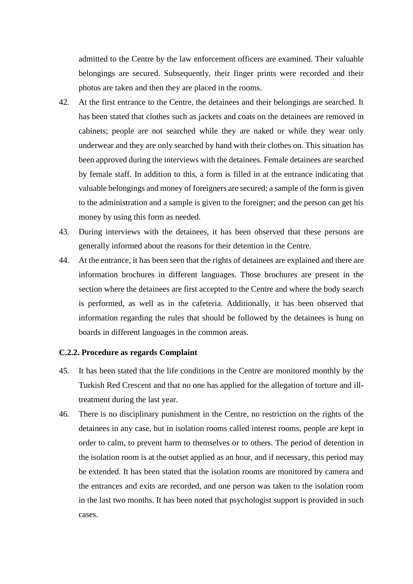admitted to the Centre by the law enforcement officers are examined. Their valuable belongings are secured. Subsequently, their finger prints were recorded and their photos are taken and then they are placed in the rooms.

- 42. At the first entrance to the Centre, the detainees and their belongings are searched. It has been stated that clothes such as jackets and coats on the detainees are removed in cabinets; people are not searched while they are naked or while they wear only underwear and they are only searched by hand with their clothes on. This situation has been approved during the interviews with the detainees. Female detainees are searched by female staff. In addition to this, a form is filled in at the entrance indicating that valuable belongings and money of foreigners are secured; a sample of the form is given to the administration and a sample is given to the foreigner; and the person can get his money by using this form as needed.
- 43. During interviews with the detainees, it has been observed that these persons are generally informed about the reasons for their detention in the Centre.
- 44. At the entrance, it has been seen that the rights of detainees are explained and there are information brochures in different languages. Those brochures are present in the section where the detainees are first accepted to the Centre and where the body search is performed, as well as in the cafeteria. Additionally, it has been observed that information regarding the rules that should be followed by the detainees is hung on boards in different languages in the common areas.

### <span id="page-9-0"></span>**C.2.2. Procedure as regards Complaint**

- 45. It has been stated that the life conditions in the Centre are monitored monthly by the Turkish Red Crescent and that no one has applied for the allegation of torture and illtreatment during the last year.
- 46. There is no disciplinary punishment in the Centre, no restriction on the rights of the detainees in any case, but in isolation rooms called interest rooms, people are kept in order to calm, to prevent harm to themselves or to others. The period of detention in the isolation room is at the outset applied as an hour, and if necessary, this period may be extended. It has been stated that the isolation rooms are monitored by camera and the entrances and exits are recorded, and one person was taken to the isolation room in the last two months. It has been noted that psychologist support is provided in such cases.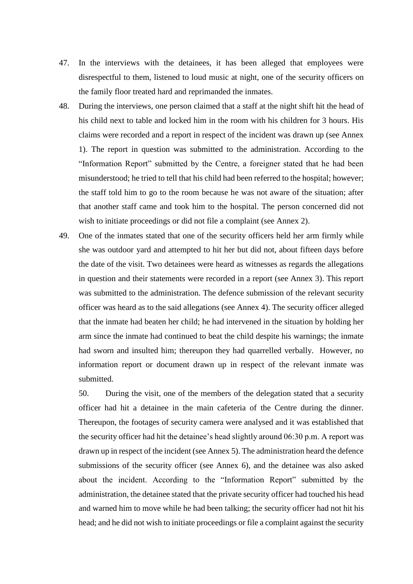- 47. In the interviews with the detainees, it has been alleged that employees were disrespectful to them, listened to loud music at night, one of the security officers on the family floor treated hard and reprimanded the inmates.
- 48. During the interviews, one person claimed that a staff at the night shift hit the head of his child next to table and locked him in the room with his children for 3 hours. His claims were recorded and a report in respect of the incident was drawn up (see Annex 1). The report in question was submitted to the administration. According to the "Information Report" submitted by the Centre, a foreigner stated that he had been misunderstood; he tried to tell that his child had been referred to the hospital; however; the staff told him to go to the room because he was not aware of the situation; after that another staff came and took him to the hospital. The person concerned did not wish to initiate proceedings or did not file a complaint (see Annex 2).
- 49. One of the inmates stated that one of the security officers held her arm firmly while she was outdoor yard and attempted to hit her but did not, about fifteen days before the date of the visit. Two detainees were heard as witnesses as regards the allegations in question and their statements were recorded in a report (see Annex 3). This report was submitted to the administration. The defence submission of the relevant security officer was heard as to the said allegations (see Annex 4). The security officer alleged that the inmate had beaten her child; he had intervened in the situation by holding her arm since the inmate had continued to beat the child despite his warnings; the inmate had sworn and insulted him; thereupon they had quarrelled verbally. However, no information report or document drawn up in respect of the relevant inmate was submitted.

50. During the visit, one of the members of the delegation stated that a security officer had hit a detainee in the main cafeteria of the Centre during the dinner. Thereupon, the footages of security camera were analysed and it was established that the security officer had hit the detainee's head slightly around 06:30 p.m. A report was drawn up in respect of the incident (see Annex 5). The administration heard the defence submissions of the security officer (see Annex 6), and the detainee was also asked about the incident. According to the "Information Report" submitted by the administration, the detainee stated that the private security officer had touched his head and warned him to move while he had been talking; the security officer had not hit his head; and he did not wish to initiate proceedings or file a complaint against the security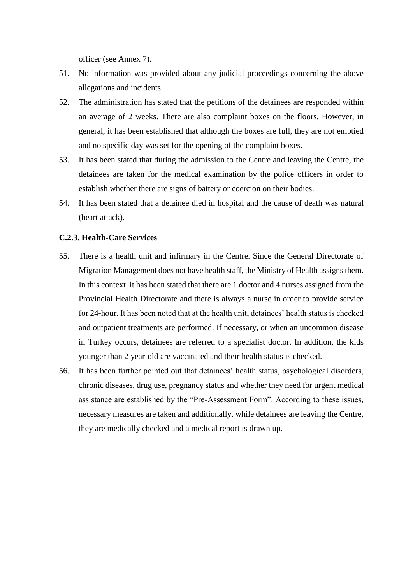officer (see Annex 7).

- 51. No information was provided about any judicial proceedings concerning the above allegations and incidents.
- 52. The administration has stated that the petitions of the detainees are responded within an average of 2 weeks. There are also complaint boxes on the floors. However, in general, it has been established that although the boxes are full, they are not emptied and no specific day was set for the opening of the complaint boxes.
- 53. It has been stated that during the admission to the Centre and leaving the Centre, the detainees are taken for the medical examination by the police officers in order to establish whether there are signs of battery or coercion on their bodies.
- 54. It has been stated that a detainee died in hospital and the cause of death was natural (heart attack).

### <span id="page-11-0"></span>**C.2.3. Health-Care Services**

- 55. There is a health unit and infirmary in the Centre. Since the General Directorate of Migration Management does not have health staff, the Ministry of Health assigns them. In this context, it has been stated that there are 1 doctor and 4 nurses assigned from the Provincial Health Directorate and there is always a nurse in order to provide service for 24-hour. It has been noted that at the health unit, detainees' health status is checked and outpatient treatments are performed. If necessary, or when an uncommon disease in Turkey occurs, detainees are referred to a specialist doctor. In addition, the kids younger than 2 year-old are vaccinated and their health status is checked.
- 56. It has been further pointed out that detainees' health status, psychological disorders, chronic diseases, drug use, pregnancy status and whether they need for urgent medical assistance are established by the "Pre-Assessment Form". According to these issues, necessary measures are taken and additionally, while detainees are leaving the Centre, they are medically checked and a medical report is drawn up.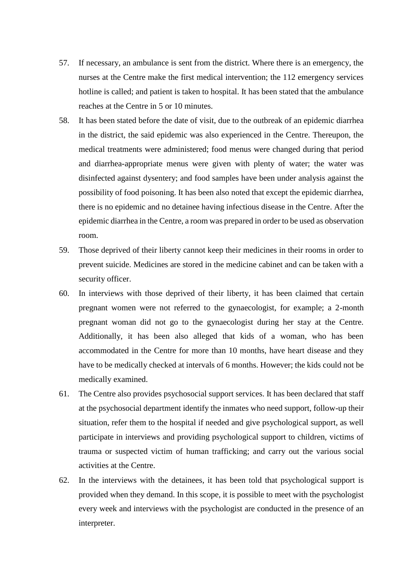- 57. If necessary, an ambulance is sent from the district. Where there is an emergency, the nurses at the Centre make the first medical intervention; the 112 emergency services hotline is called; and patient is taken to hospital. It has been stated that the ambulance reaches at the Centre in 5 or 10 minutes.
- 58. It has been stated before the date of visit, due to the outbreak of an epidemic diarrhea in the district, the said epidemic was also experienced in the Centre. Thereupon, the medical treatments were administered; food menus were changed during that period and diarrhea-appropriate menus were given with plenty of water; the water was disinfected against dysentery; and food samples have been under analysis against the possibility of food poisoning. It has been also noted that except the epidemic diarrhea, there is no epidemic and no detainee having infectious disease in the Centre. After the epidemic diarrhea in the Centre, a room was prepared in order to be used as observation room.
- 59. Those deprived of their liberty cannot keep their medicines in their rooms in order to prevent suicide. Medicines are stored in the medicine cabinet and can be taken with a security officer.
- 60. In interviews with those deprived of their liberty, it has been claimed that certain pregnant women were not referred to the gynaecologist, for example; a 2-month pregnant woman did not go to the gynaecologist during her stay at the Centre. Additionally, it has been also alleged that kids of a woman, who has been accommodated in the Centre for more than 10 months, have heart disease and they have to be medically checked at intervals of 6 months. However; the kids could not be medically examined.
- 61. The Centre also provides psychosocial support services. It has been declared that staff at the psychosocial department identify the inmates who need support, follow-up their situation, refer them to the hospital if needed and give psychological support, as well participate in interviews and providing psychological support to children, victims of trauma or suspected victim of human trafficking; and carry out the various social activities at the Centre.
- 62. In the interviews with the detainees, it has been told that psychological support is provided when they demand. In this scope, it is possible to meet with the psychologist every week and interviews with the psychologist are conducted in the presence of an interpreter.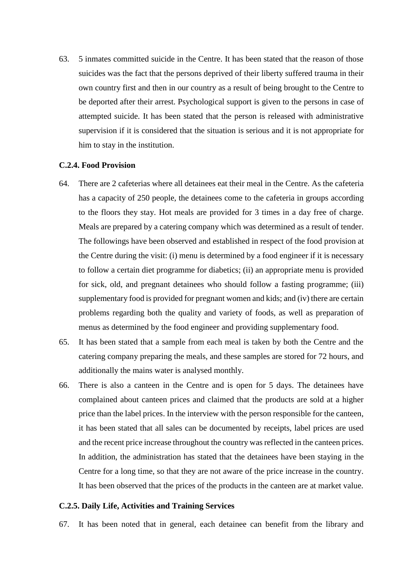63. 5 inmates committed suicide in the Centre. It has been stated that the reason of those suicides was the fact that the persons deprived of their liberty suffered trauma in their own country first and then in our country as a result of being brought to the Centre to be deported after their arrest. Psychological support is given to the persons in case of attempted suicide. It has been stated that the person is released with administrative supervision if it is considered that the situation is serious and it is not appropriate for him to stay in the institution.

### <span id="page-13-0"></span>**C.2.4. Food Provision**

- 64. There are 2 cafeterias where all detainees eat their meal in the Centre. As the cafeteria has a capacity of 250 people, the detainees come to the cafeteria in groups according to the floors they stay. Hot meals are provided for 3 times in a day free of charge. Meals are prepared by a catering company which was determined as a result of tender. The followings have been observed and established in respect of the food provision at the Centre during the visit: (i) menu is determined by a food engineer if it is necessary to follow a certain diet programme for diabetics; (ii) an appropriate menu is provided for sick, old, and pregnant detainees who should follow a fasting programme; (iii) supplementary food is provided for pregnant women and kids; and (iv) there are certain problems regarding both the quality and variety of foods, as well as preparation of menus as determined by the food engineer and providing supplementary food.
- 65. It has been stated that a sample from each meal is taken by both the Centre and the catering company preparing the meals, and these samples are stored for 72 hours, and additionally the mains water is analysed monthly.
- 66. There is also a canteen in the Centre and is open for 5 days. The detainees have complained about canteen prices and claimed that the products are sold at a higher price than the label prices. In the interview with the person responsible for the canteen, it has been stated that all sales can be documented by receipts, label prices are used and the recent price increase throughout the country was reflected in the canteen prices. In addition, the administration has stated that the detainees have been staying in the Centre for a long time, so that they are not aware of the price increase in the country. It has been observed that the prices of the products in the canteen are at market value.

### <span id="page-13-1"></span>**C.2.5. Daily Life, Activities and Training Services**

67. It has been noted that in general, each detainee can benefit from the library and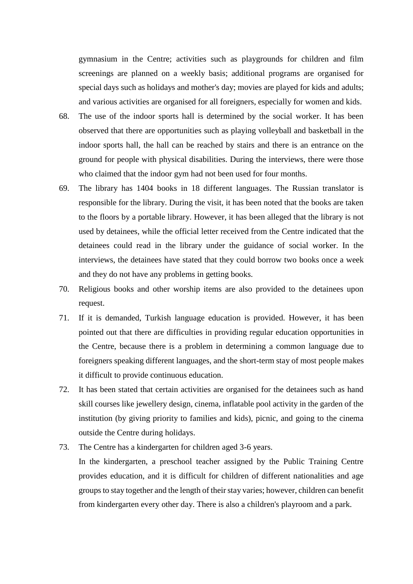gymnasium in the Centre; activities such as playgrounds for children and film screenings are planned on a weekly basis; additional programs are organised for special days such as holidays and mother's day; movies are played for kids and adults; and various activities are organised for all foreigners, especially for women and kids.

- 68. The use of the indoor sports hall is determined by the social worker. It has been observed that there are opportunities such as playing volleyball and basketball in the indoor sports hall, the hall can be reached by stairs and there is an entrance on the ground for people with physical disabilities. During the interviews, there were those who claimed that the indoor gym had not been used for four months.
- 69. The library has 1404 books in 18 different languages. The Russian translator is responsible for the library. During the visit, it has been noted that the books are taken to the floors by a portable library. However, it has been alleged that the library is not used by detainees, while the official letter received from the Centre indicated that the detainees could read in the library under the guidance of social worker. In the interviews, the detainees have stated that they could borrow two books once a week and they do not have any problems in getting books.
- 70. Religious books and other worship items are also provided to the detainees upon request.
- 71. If it is demanded, Turkish language education is provided. However, it has been pointed out that there are difficulties in providing regular education opportunities in the Centre, because there is a problem in determining a common language due to foreigners speaking different languages, and the short-term stay of most people makes it difficult to provide continuous education.
- 72. It has been stated that certain activities are organised for the detainees such as hand skill courses like jewellery design, cinema, inflatable pool activity in the garden of the institution (by giving priority to families and kids), picnic, and going to the cinema outside the Centre during holidays.
- 73. The Centre has a kindergarten for children aged 3-6 years.

In the kindergarten, a preschool teacher assigned by the Public Training Centre provides education, and it is difficult for children of different nationalities and age groups to stay together and the length of their stay varies; however, children can benefit from kindergarten every other day. There is also a children's playroom and a park.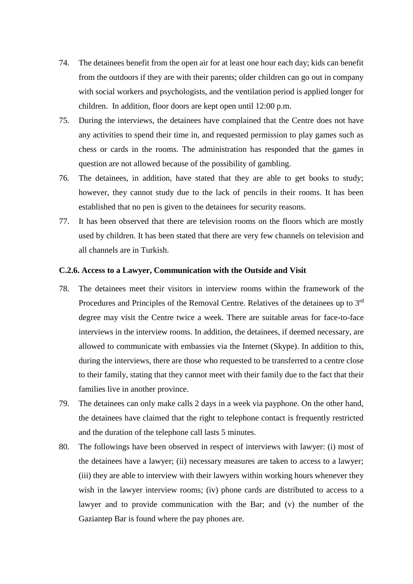- 74. The detainees benefit from the open air for at least one hour each day; kids can benefit from the outdoors if they are with their parents; older children can go out in company with social workers and psychologists, and the ventilation period is applied longer for children. In addition, floor doors are kept open until 12:00 p.m.
- 75. During the interviews, the detainees have complained that the Centre does not have any activities to spend their time in, and requested permission to play games such as chess or cards in the rooms. The administration has responded that the games in question are not allowed because of the possibility of gambling.
- 76. The detainees, in addition, have stated that they are able to get books to study; however, they cannot study due to the lack of pencils in their rooms. It has been established that no pen is given to the detainees for security reasons.
- 77. It has been observed that there are television rooms on the floors which are mostly used by children. It has been stated that there are very few channels on television and all channels are in Turkish.

### <span id="page-15-0"></span>**C.2.6. Access to a Lawyer, Communication with the Outside and Visit**

- 78. The detainees meet their visitors in interview rooms within the framework of the Procedures and Principles of the Removal Centre. Relatives of the detainees up to 3<sup>rd</sup> degree may visit the Centre twice a week. There are suitable areas for face-to-face interviews in the interview rooms. In addition, the detainees, if deemed necessary, are allowed to communicate with embassies via the Internet (Skype). In addition to this, during the interviews, there are those who requested to be transferred to a centre close to their family, stating that they cannot meet with their family due to the fact that their families live in another province.
- 79. The detainees can only make calls 2 days in a week via payphone. On the other hand, the detainees have claimed that the right to telephone contact is frequently restricted and the duration of the telephone call lasts 5 minutes.
- 80. The followings have been observed in respect of interviews with lawyer: (i) most of the detainees have a lawyer; (ii) necessary measures are taken to access to a lawyer; (iii) they are able to interview with their lawyers within working hours whenever they wish in the lawyer interview rooms; (iv) phone cards are distributed to access to a lawyer and to provide communication with the Bar; and (v) the number of the Gaziantep Bar is found where the pay phones are.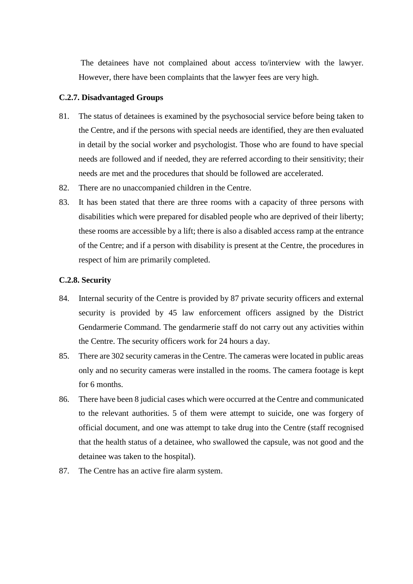The detainees have not complained about access to/interview with the lawyer. However, there have been complaints that the lawyer fees are very high.

### <span id="page-16-0"></span>**C.2.7. Disadvantaged Groups**

- 81. The status of detainees is examined by the psychosocial service before being taken to the Centre, and if the persons with special needs are identified, they are then evaluated in detail by the social worker and psychologist. Those who are found to have special needs are followed and if needed, they are referred according to their sensitivity; their needs are met and the procedures that should be followed are accelerated.
- 82. There are no unaccompanied children in the Centre.
- 83. It has been stated that there are three rooms with a capacity of three persons with disabilities which were prepared for disabled people who are deprived of their liberty; these rooms are accessible by a lift; there is also a disabled access ramp at the entrance of the Centre; and if a person with disability is present at the Centre, the procedures in respect of him are primarily completed.

### <span id="page-16-1"></span>**C.2.8. Security**

- 84. Internal security of the Centre is provided by 87 private security officers and external security is provided by 45 law enforcement officers assigned by the District Gendarmerie Command. The gendarmerie staff do not carry out any activities within the Centre. The security officers work for 24 hours a day.
- 85. There are 302 security cameras in the Centre. The cameras were located in public areas only and no security cameras were installed in the rooms. The camera footage is kept for 6 months.
- 86. There have been 8 judicial cases which were occurred at the Centre and communicated to the relevant authorities. 5 of them were attempt to suicide, one was forgery of official document, and one was attempt to take drug into the Centre (staff recognised that the health status of a detainee, who swallowed the capsule, was not good and the detainee was taken to the hospital).
- 87. The Centre has an active fire alarm system.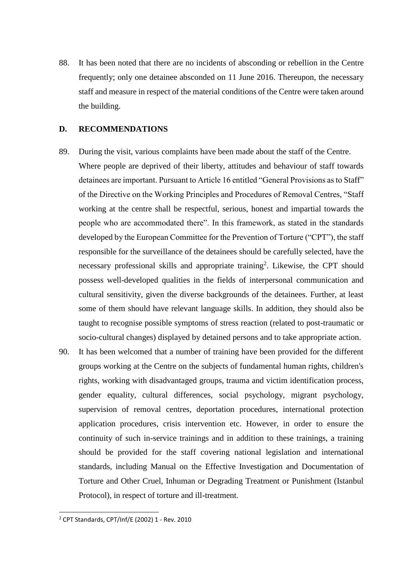88. It has been noted that there are no incidents of absconding or rebellion in the Centre frequently; only one detainee absconded on 11 June 2016. Thereupon, the necessary staff and measure in respect of the material conditions of the Centre were taken around the building.

### <span id="page-17-0"></span>**D. RECOMMENDATIONS**

- 89. During the visit, various complaints have been made about the staff of the Centre. Where people are deprived of their liberty, attitudes and behaviour of staff towards detainees are important. Pursuant to Article 16 entitled "General Provisions as to Staff" of the Directive on the Working Principles and Procedures of Removal Centres, "Staff working at the centre shall be respectful, serious, honest and impartial towards the people who are accommodated there". In this framework, as stated in the standards developed by the European Committee for the Prevention of Torture ("CPT"), the staff responsible for the surveillance of the detainees should be carefully selected, have the necessary professional skills and appropriate training<sup>2</sup>. Likewise, the CPT should possess well-developed qualities in the fields of interpersonal communication and cultural sensitivity, given the diverse backgrounds of the detainees. Further, at least some of them should have relevant language skills. In addition, they should also be taught to recognise possible symptoms of stress reaction (related to post-traumatic or socio-cultural changes) displayed by detained persons and to take appropriate action.
- 90. It has been welcomed that a number of training have been provided for the different groups working at the Centre on the subjects of fundamental human rights, children's rights, working with disadvantaged groups, trauma and victim identification process, gender equality, cultural differences, social psychology, migrant psychology, supervision of removal centres, deportation procedures, international protection application procedures, crisis intervention etc. However, in order to ensure the continuity of such in-service trainings and in addition to these trainings, a training should be provided for the staff covering national legislation and international standards, including Manual on the Effective Investigation and Documentation of Torture and Other Cruel, Inhuman or Degrading Treatment or Punishment (Istanbul Protocol), in respect of torture and ill-treatment.

<sup>2</sup> CPT Standards, CPT/Inf/E (2002) 1 - Rev. 2010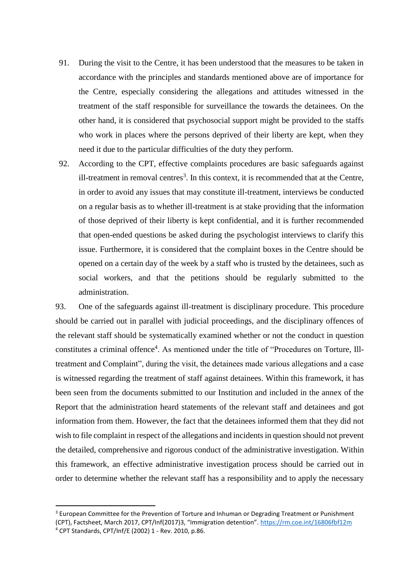- 91. During the visit to the Centre, it has been understood that the measures to be taken in accordance with the principles and standards mentioned above are of importance for the Centre, especially considering the allegations and attitudes witnessed in the treatment of the staff responsible for surveillance the towards the detainees. On the other hand, it is considered that psychosocial support might be provided to the staffs who work in places where the persons deprived of their liberty are kept, when they need it due to the particular difficulties of the duty they perform.
- 92. According to the CPT, effective complaints procedures are basic safeguards against ill-treatment in removal centres<sup>3</sup>. In this context, it is recommended that at the Centre, in order to avoid any issues that may constitute ill-treatment, interviews be conducted on a regular basis as to whether ill-treatment is at stake providing that the information of those deprived of their liberty is kept confidential, and it is further recommended that open-ended questions be asked during the psychologist interviews to clarify this issue. Furthermore, it is considered that the complaint boxes in the Centre should be opened on a certain day of the week by a staff who is trusted by the detainees, such as social workers, and that the petitions should be regularly submitted to the administration.

93. One of the safeguards against ill-treatment is disciplinary procedure. This procedure should be carried out in parallel with judicial proceedings, and the disciplinary offences of the relevant staff should be systematically examined whether or not the conduct in question constitutes a criminal offence<sup>4</sup>. As mentioned under the title of "Procedures on Torture, Illtreatment and Complaint", during the visit, the detainees made various allegations and a case is witnessed regarding the treatment of staff against detainees. Within this framework, it has been seen from the documents submitted to our Institution and included in the annex of the Report that the administration heard statements of the relevant staff and detainees and got information from them. However, the fact that the detainees informed them that they did not wish to file complaint in respect of the allegations and incidents in question should not prevent the detailed, comprehensive and rigorous conduct of the administrative investigation. Within this framework, an effective administrative investigation process should be carried out in order to determine whether the relevant staff has a responsibility and to apply the necessary

 $\overline{a}$ 

<sup>&</sup>lt;sup>3</sup> European Committee for the Prevention of Torture and Inhuman or Degrading Treatment or Punishment (CPT), Factsheet, March 2017, CPT/Inf(2017)3, "Immigration detention". <https://rm.coe.int/16806fbf12m> <sup>4</sup> CPT Standards, CPT/Inf/E (2002) 1 - Rev. 2010, p.86.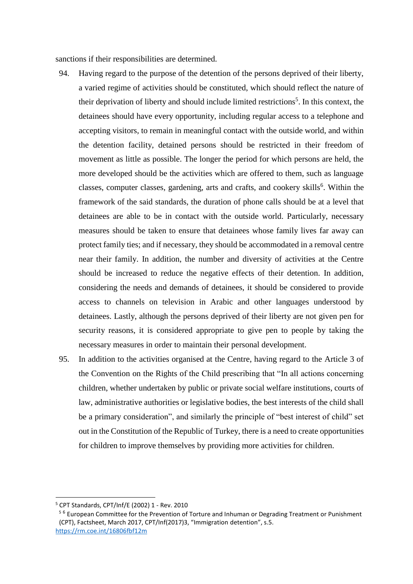sanctions if their responsibilities are determined.

- 94. Having regard to the purpose of the detention of the persons deprived of their liberty, a varied regime of activities should be constituted, which should reflect the nature of their deprivation of liberty and should include limited restrictions<sup>5</sup>. In this context, the detainees should have every opportunity, including regular access to a telephone and accepting visitors, to remain in meaningful contact with the outside world, and within the detention facility, detained persons should be restricted in their freedom of movement as little as possible. The longer the period for which persons are held, the more developed should be the activities which are offered to them, such as language classes, computer classes, gardening, arts and crafts, and cookery skills<sup>6</sup>. Within the framework of the said standards, the duration of phone calls should be at a level that detainees are able to be in contact with the outside world. Particularly, necessary measures should be taken to ensure that detainees whose family lives far away can protect family ties; and if necessary, they should be accommodated in a removal centre near their family. In addition, the number and diversity of activities at the Centre should be increased to reduce the negative effects of their detention. In addition, considering the needs and demands of detainees, it should be considered to provide access to channels on television in Arabic and other languages understood by detainees. Lastly, although the persons deprived of their liberty are not given pen for security reasons, it is considered appropriate to give pen to people by taking the necessary measures in order to maintain their personal development.
- 95. In addition to the activities organised at the Centre, having regard to the Article 3 of the Convention on the Rights of the Child prescribing that "In all actions concerning children, whether undertaken by public or private social welfare institutions, courts of law, administrative authorities or legislative bodies, the best interests of the child shall be a primary consideration", and similarly the principle of "best interest of child" set out in the Constitution of the Republic of Turkey, there is a need to create opportunities for children to improve themselves by providing more activities for children.

 $\overline{a}$ 

<sup>5</sup> CPT Standards, CPT/Inf/E (2002) 1 - Rev. 2010

<sup>&</sup>lt;sup>56</sup> European Committee for the Prevention of Torture and Inhuman or Degrading Treatment or Punishment (CPT), Factsheet, March 2017, CPT/Inf(2017)3, "Immigration detention", s.5. <https://rm.coe.int/16806fbf12m>